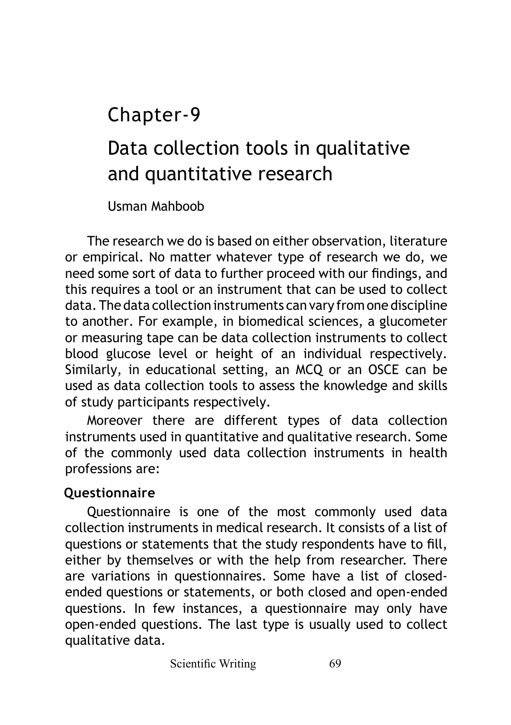Chapter-9

# Data collection tools in qualitative and quantitative research

Usman Mahboob

The research we do is based on either observation, literature or empirical. No matter whatever type of research we do, we need some sort of data to further proceed with our findings, and this requires a tool or an instrument that can be used to collect data. The data collection instruments can vary from one discipline to another. For example, in biomedical sciences, a glucometer or measuring tape can be data collection instruments to collect blood glucose level or height of an individual respectively. Similarly, in educational setting, an MCQ or an OSCE can be used as data collection tools to assess the knowledge and skills of study participants respectively.

Moreover there are different types of data collection instruments used in quantitative and qualitative research. Some of the commonly used data collection instruments in health professions are:

## **Questionnaire**

Questionnaire is one of the most commonly used data collection instruments in medical research. It consists of a list of questions or statements that the study respondents have to fill, either by themselves or with the help from researcher. There are variations in questionnaires. Some have a list of closedended questions or statements, or both closed and open-ended questions. In few instances, a questionnaire may only have open-ended questions. The last type is usually used to collect qualitative data.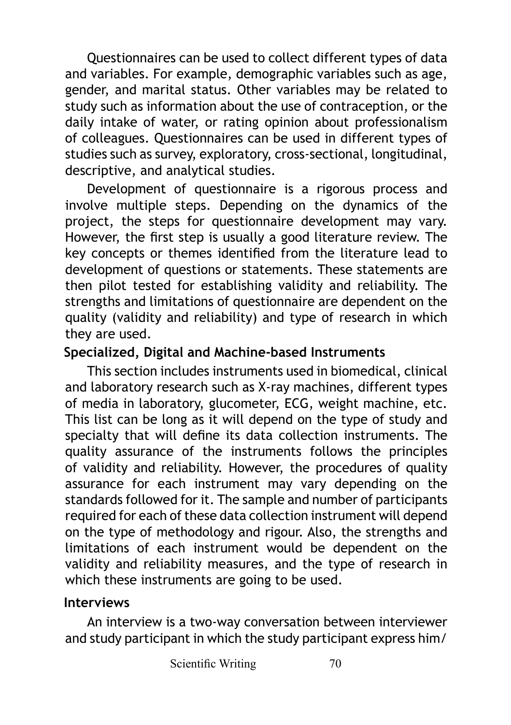Questionnaires can be used to collect different types of data and variables. For example, demographic variables such as age, gender, and marital status. Other variables may be related to study such as information about the use of contraception, or the daily intake of water, or rating opinion about professionalism of colleagues. Questionnaires can be used in different types of studies such as survey, exploratory, cross-sectional, longitudinal, descriptive, and analytical studies.

Development of questionnaire is a rigorous process and involve multiple steps. Depending on the dynamics of the project, the steps for questionnaire development may vary. However, the first step is usually a good literature review. The key concepts or themes identified from the literature lead to development of questions or statements. These statements are then pilot tested for establishing validity and reliability. The strengths and limitations of questionnaire are dependent on the quality (validity and reliability) and type of research in which they are used.

#### **Specialized, Digital and Machine-based Instruments**

This section includes instruments used in biomedical, clinical and laboratory research such as X-ray machines, different types of media in laboratory, glucometer, ECG, weight machine, etc. This list can be long as it will depend on the type of study and specialty that will define its data collection instruments. The quality assurance of the instruments follows the principles of validity and reliability. However, the procedures of quality assurance for each instrument may vary depending on the standards followed for it. The sample and number of participants required for each of these data collection instrument will depend on the type of methodology and rigour. Also, the strengths and limitations of each instrument would be dependent on the validity and reliability measures, and the type of research in which these instruments are going to be used.

#### **Interviews**

An interview is a two-way conversation between interviewer and study participant in which the study participant express him/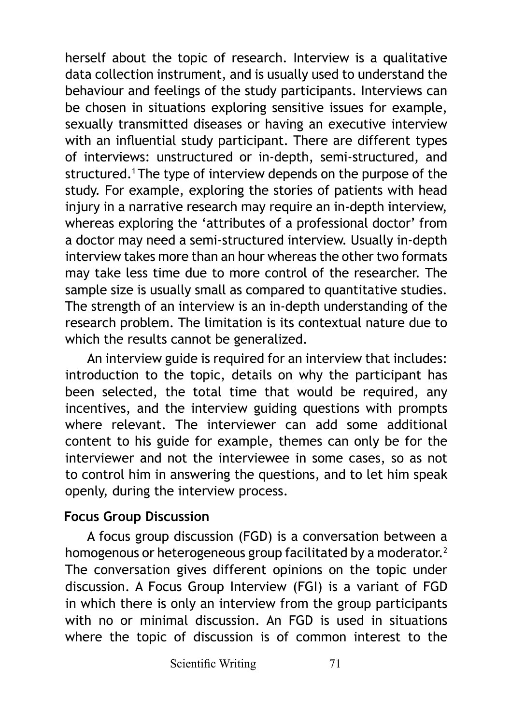herself about the topic of research. Interview is a qualitative data collection instrument, and is usually used to understand the behaviour and feelings of the study participants. Interviews can be chosen in situations exploring sensitive issues for example, sexually transmitted diseases or having an executive interview with an influential study participant. There are different types of interviews: unstructured or in-depth, semi-structured, and structured.<sup>1</sup> The type of interview depends on the purpose of the study. For example, exploring the stories of patients with head injury in a narrative research may require an in-depth interview, whereas exploring the 'attributes of a professional doctor' from a doctor may need a semi-structured interview. Usually in-depth interview takes more than an hour whereas the other two formats may take less time due to more control of the researcher. The sample size is usually small as compared to quantitative studies. The strength of an interview is an in-depth understanding of the research problem. The limitation is its contextual nature due to which the results cannot be generalized.

An interview guide is required for an interview that includes: introduction to the topic, details on why the participant has been selected, the total time that would be required, any incentives, and the interview guiding questions with prompts where relevant. The interviewer can add some additional content to his guide for example, themes can only be for the interviewer and not the interviewee in some cases, so as not to control him in answering the questions, and to let him speak openly, during the interview process.

#### **Focus Group Discussion**

A focus group discussion (FGD) is a conversation between a homogenous or heterogeneous group facilitated by a moderator.<sup>2</sup> The conversation gives different opinions on the topic under discussion. A Focus Group Interview (FGI) is a variant of FGD in which there is only an interview from the group participants with no or minimal discussion. An FGD is used in situations where the topic of discussion is of common interest to the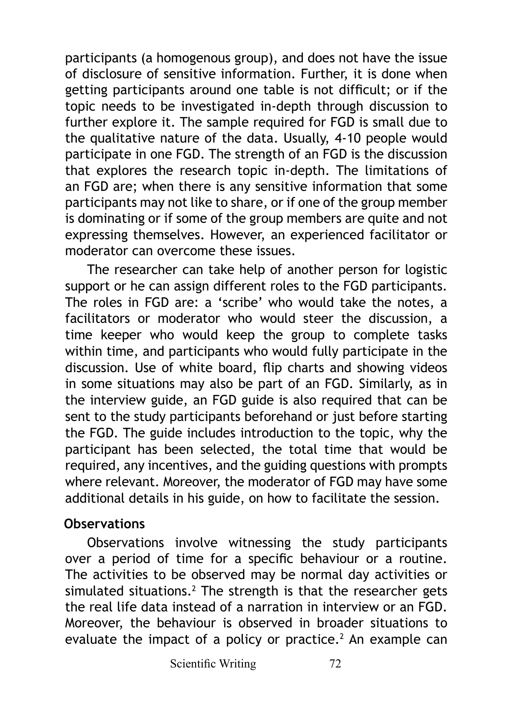participants (a homogenous group), and does not have the issue of disclosure of sensitive information. Further, it is done when getting participants around one table is not difficult; or if the topic needs to be investigated in-depth through discussion to further explore it. The sample required for FGD is small due to the qualitative nature of the data. Usually, 4-10 people would participate in one FGD. The strength of an FGD is the discussion that explores the research topic in-depth. The limitations of an FGD are; when there is any sensitive information that some participants may not like to share, or if one of the group member is dominating or if some of the group members are quite and not expressing themselves. However, an experienced facilitator or moderator can overcome these issues.

The researcher can take help of another person for logistic support or he can assign different roles to the FGD participants. The roles in FGD are: a 'scribe' who would take the notes, a facilitators or moderator who would steer the discussion, a time keeper who would keep the group to complete tasks within time, and participants who would fully participate in the discussion. Use of white board, flip charts and showing videos in some situations may also be part of an FGD. Similarly, as in the interview guide, an FGD guide is also required that can be sent to the study participants beforehand or just before starting the FGD. The guide includes introduction to the topic, why the participant has been selected, the total time that would be required, any incentives, and the guiding questions with prompts where relevant. Moreover, the moderator of FGD may have some additional details in his guide, on how to facilitate the session.

#### **Observations**

Observations involve witnessing the study participants over a period of time for a specific behaviour or a routine. The activities to be observed may be normal day activities or simulated situations.<sup>2</sup> The strength is that the researcher gets the real life data instead of a narration in interview or an FGD. Moreover, the behaviour is observed in broader situations to evaluate the impact of a policy or practice. $<sup>2</sup>$  An example can</sup>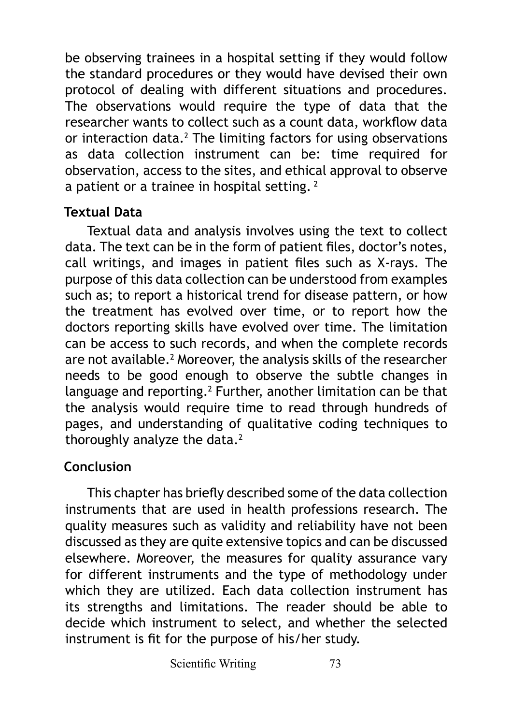be observing trainees in a hospital setting if they would follow the standard procedures or they would have devised their own protocol of dealing with different situations and procedures. The observations would require the type of data that the researcher wants to collect such as a count data, workflow data or interaction data. $2$  The limiting factors for using observations as data collection instrument can be: time required for observation, access to the sites, and ethical approval to observe a patient or a trainee in hospital setting.<sup>2</sup>

## **Textual Data**

Textual data and analysis involves using the text to collect data. The text can be in the form of patient files, doctor's notes, call writings, and images in patient files such as X-rays. The purpose of this data collection can be understood from examples such as; to report a historical trend for disease pattern, or how the treatment has evolved over time, or to report how the doctors reporting skills have evolved over time. The limitation can be access to such records, and when the complete records are not available.<sup>2</sup> Moreover, the analysis skills of the researcher needs to be good enough to observe the subtle changes in language and reporting.<sup>2</sup> Further, another limitation can be that the analysis would require time to read through hundreds of pages, and understanding of qualitative coding techniques to thoroughly analyze the data. $2$ 

# **Conclusion**

This chapter has briefly described some of the data collection instruments that are used in health professions research. The quality measures such as validity and reliability have not been discussed as they are quite extensive topics and can be discussed elsewhere. Moreover, the measures for quality assurance vary for different instruments and the type of methodology under which they are utilized. Each data collection instrument has its strengths and limitations. The reader should be able to decide which instrument to select, and whether the selected instrument is fit for the purpose of his/her study.